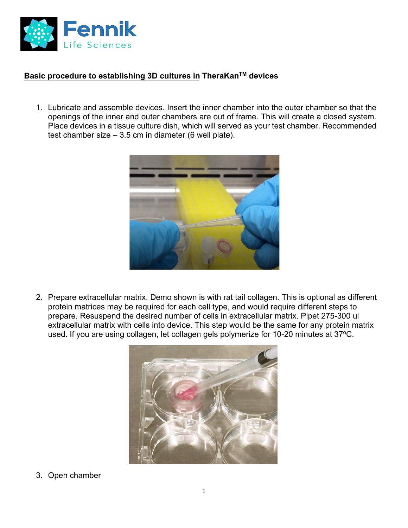

## **Basic procedure to establishing 3D cultures in TheraKanTM devices**

1. Lubricate and assemble devices. Insert the inner chamber into the outer chamber so that the openings of the inner and outer chambers are out of frame. This will create a closed system. Place devices in a tissue culture dish, which will served as your test chamber. Recommended test chamber size – 3.5 cm in diameter (6 well plate).



2. Prepare extracellular matrix. Demo shown is with rat tail collagen. This is optional as different protein matrices may be required for each cell type, and would require different steps to prepare. Resuspend the desired number of cells in extracellular matrix. Pipet 275-300 ul extracellular matrix with cells into device. This step would be the same for any protein matrix used. If you are using collagen, let collagen gels polymerize for 10-20 minutes at 37°C.



3. Open chamber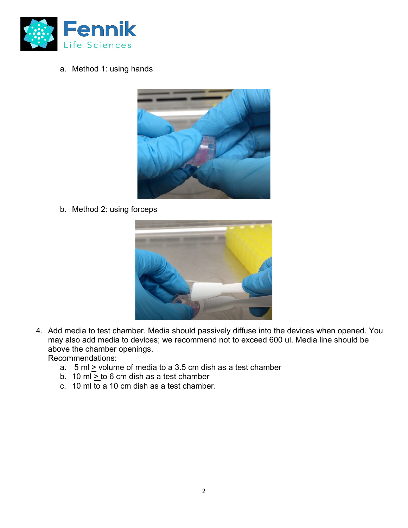

a. Method 1: using hands



b. Method 2: using forceps



4. Add media to test chamber. Media should passively diffuse into the devices when opened. You may also add media to devices; we recommend not to exceed 600 ul. Media line should be above the chamber openings.

Recommendations:

- a.  $5 \text{ ml} \geq$  volume of media to a 3.5 cm dish as a test chamber
- b. 10 ml <u>> t</u>o 6 cm dish as a test chamber
- c. 10 ml to a 10 cm dish as a test chamber.